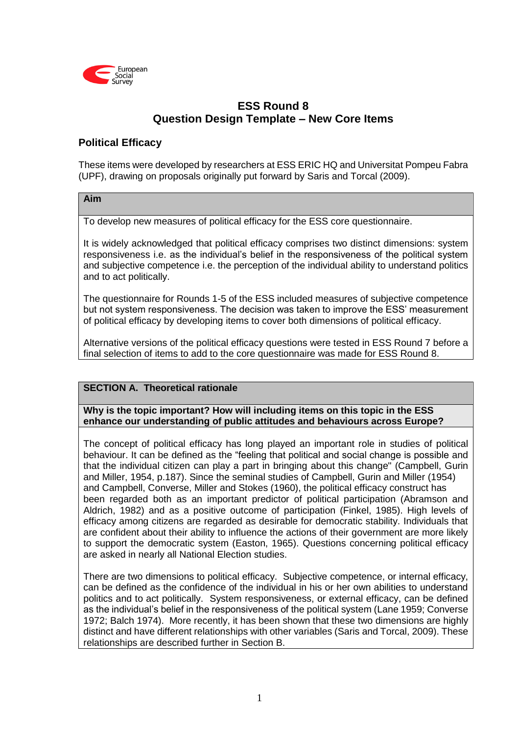

# **ESS Round 8 Question Design Template – New Core Items**

# **Political Efficacy**

These items were developed by researchers at ESS ERIC HQ and Universitat Pompeu Fabra (UPF), drawing on proposals originally put forward by Saris and Torcal (2009).

# **Aim**

To develop new measures of political efficacy for the ESS core questionnaire.

It is widely acknowledged that political efficacy comprises two distinct dimensions: system responsiveness i.e. as the individual's belief in the responsiveness of the political system and subjective competence i.e. the perception of the individual ability to understand politics and to act politically.

The questionnaire for Rounds 1-5 of the ESS included measures of subjective competence but not system responsiveness. The decision was taken to improve the ESS' measurement of political efficacy by developing items to cover both dimensions of political efficacy.

Alternative versions of the political efficacy questions were tested in ESS Round 7 before a final selection of items to add to the core questionnaire was made for ESS Round 8.

# **SECTION A. Theoretical rationale**

**Why is the topic important? How will including items on this topic in the ESS enhance our understanding of public attitudes and behaviours across Europe?**

The concept of political efficacy has long played an important role in studies of political behaviour. It can be defined as the "feeling that political and social change is possible and that the individual citizen can play a part in bringing about this change" (Campbell, Gurin and Miller, 1954, p.187). Since the seminal studies of Campbell, Gurin and Miller (1954) and Campbell, Converse, Miller and Stokes (1960), the political efficacy construct has been regarded both as an important predictor of political participation (Abramson and Aldrich, 1982) and as a positive outcome of participation (Finkel, 1985). High levels of efficacy among citizens are regarded as desirable for democratic stability. Individuals that are confident about their ability to influence the actions of their government are more likely to support the democratic system (Easton, 1965). Questions concerning political efficacy are asked in nearly all National Election studies.

There are two dimensions to political efficacy. Subjective competence, or internal efficacy, can be defined as the confidence of the individual in his or her own abilities to understand politics and to act politically. System responsiveness, or external efficacy, can be defined as the individual's belief in the responsiveness of the political system (Lane 1959; Converse 1972; Balch 1974). More recently, it has been shown that these two dimensions are highly distinct and have different relationships with other variables (Saris and Torcal, 2009). These relationships are described further in Section B.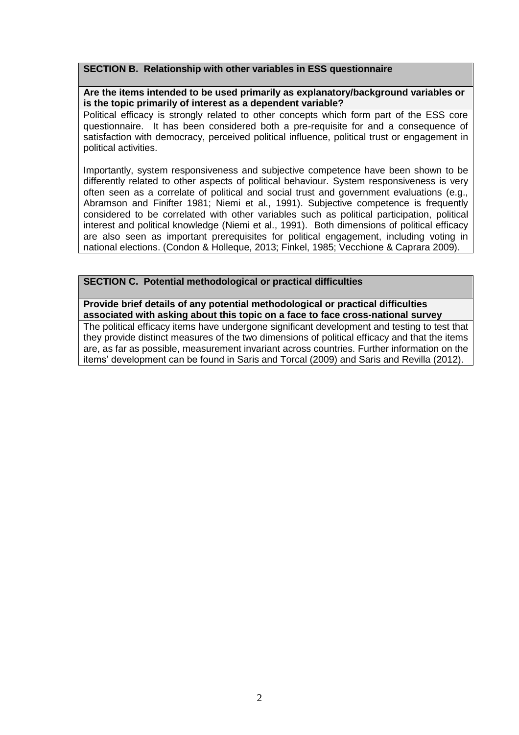# **SECTION B. Relationship with other variables in ESS questionnaire**

#### **Are the items intended to be used primarily as explanatory/background variables or is the topic primarily of interest as a dependent variable?**

Political efficacy is strongly related to other concepts which form part of the ESS core questionnaire. It has been considered both a pre-requisite for and a consequence of satisfaction with democracy, perceived political influence, political trust or engagement in political activities.

Importantly, system responsiveness and subjective competence have been shown to be differently related to other aspects of political behaviour. System responsiveness is very often seen as a correlate of political and social trust and government evaluations (e.g., Abramson and Finifter 1981; Niemi et al., 1991). Subjective competence is frequently considered to be correlated with other variables such as political participation, political interest and political knowledge (Niemi et al., 1991). Both dimensions of political efficacy are also seen as important prerequisites for political engagement, including voting in national elections. (Condon & Holleque, 2013; Finkel, 1985; Vecchione & Caprara 2009).

# **SECTION C. Potential methodological or practical difficulties**

**Provide brief details of any potential methodological or practical difficulties associated with asking about this topic on a face to face cross-national survey** 

The political efficacy items have undergone significant development and testing to test that they provide distinct measures of the two dimensions of political efficacy and that the items are, as far as possible, measurement invariant across countries. Further information on the items' development can be found in Saris and Torcal (2009) and Saris and Revilla (2012).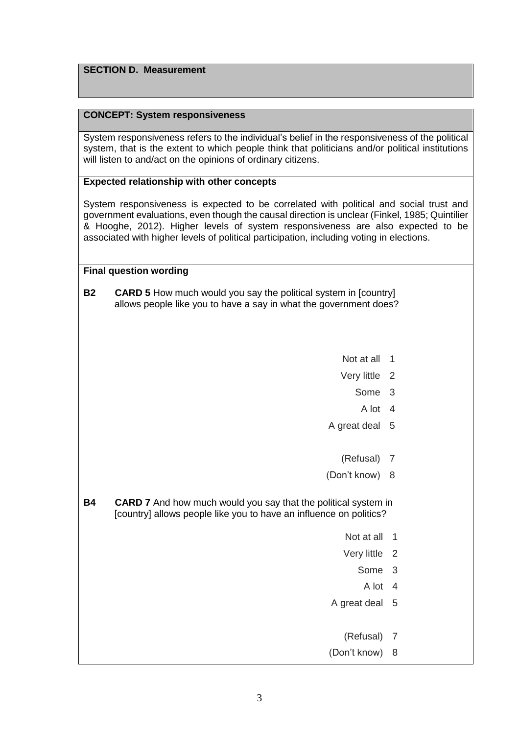# **SECTION D. Measurement**

#### **CONCEPT: System responsiveness**

System responsiveness refers to the individual's belief in the responsiveness of the political system, that is the extent to which people think that politicians and/or political institutions will listen to and/act on the opinions of ordinary citizens.

# **Expected relationship with other concepts**

System responsiveness is expected to be correlated with political and social trust and government evaluations, even though the causal direction is unclear (Finkel, 1985; Quintilier & Hooghe, 2012). Higher levels of system responsiveness are also expected to be associated with higher levels of political participation, including voting in elections.

#### **Final question wording**

- **B2 CARD 5** How much would you say the political system in [country] allows people like you to have a say in what the government does?
	- Not at all 1
	- Very little 2
		- Some 3
			- A lot 4
	- A great deal 5
		- (Refusal) 7
	- (Don't know) 8

**B4 CARD 7** And how much would you say that the political system in [country] allows people like you to have an influence on politics?

- Not at all 1
- Very little 2
	- Some 3
	- A lot 4
- A great deal 5
	- (Refusal) 7
- (Don't know) 8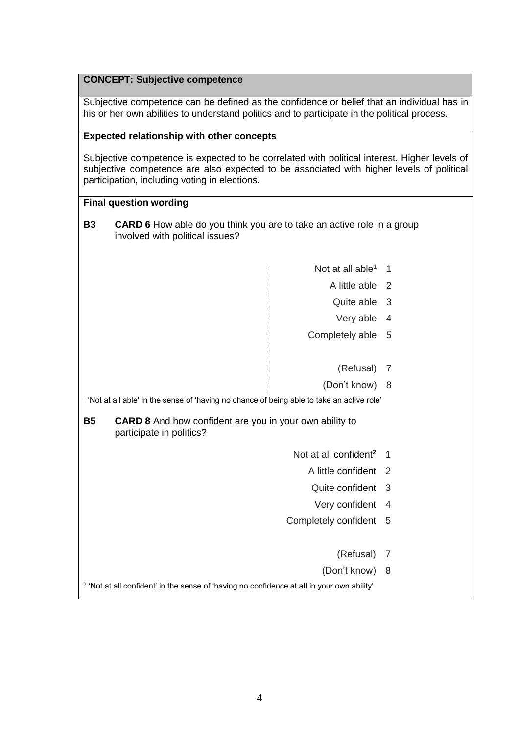## **CONCEPT: Subjective competence**

Subjective competence can be defined as the confidence or belief that an individual has in his or her own abilities to understand politics and to participate in the political process.

#### **Expected relationship with other concepts**

Subjective competence is expected to be correlated with political interest. Higher levels of subjective competence are also expected to be associated with higher levels of political participation, including voting in elections.

#### **Final question wording**

- **B3 CARD 6** How able do you think you are to take an active role in a group involved with political issues?
	- Not at all  $able<sup>1</sup>$  1
		- A little able 2
		- Quite able 3
			- Very able 4
	- Completely able 5
		- (Refusal) 7
		- (Don't know) 8

<sup>1</sup>'Not at all able' in the sense of 'having no chance of being able to take an active role'

**B5 CARD 8** And how confident are you in your own ability to participate in politics?

- Not at all confident**<sup>2</sup>** 1
	- A little confident 2
	- Quite confident 3
	- Very confident 4
- Completely confident 5
	- (Refusal) 7
	- (Don't know) 8

<sup>2</sup> 'Not at all confident' in the sense of 'having no confidence at all in your own ability'